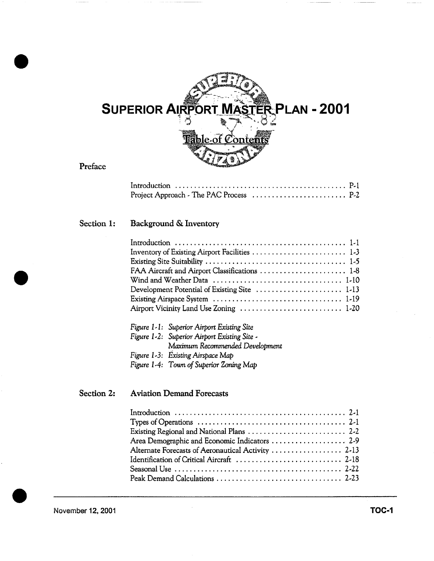

| Project Approach - The PAC Process $\ldots \ldots \ldots \ldots \ldots \ldots$ . P-2 |  |
|--------------------------------------------------------------------------------------|--|

# Section **1:** Background & Inventory

| FAA Aircraft and Airport Classifications  1-8 |
|-----------------------------------------------|
|                                               |
|                                               |
|                                               |
| Airport Vicinity Land Use Zoning  1-20        |

| Figure 1-1: Superior Airport Existing Site   |
|----------------------------------------------|
| Figure 1-2: Superior Airport Existing Site - |
| Maximum Recommended Development              |
| Figure 1-3: Existing Airspace Map            |
| Figure 1-4: Town of Superior Zoning Map      |

# Section 2: **Aviation Demand Forecasts**

| Existing Regional and National Plans $\ldots \ldots \ldots \ldots \ldots \ldots \ldots$ 2-2 |  |
|---------------------------------------------------------------------------------------------|--|
| Area Demographic and Economic Indicators  2-9                                               |  |
| Alternate Forecasts of Aeronautical Activity  2-13                                          |  |
|                                                                                             |  |
|                                                                                             |  |
|                                                                                             |  |
|                                                                                             |  |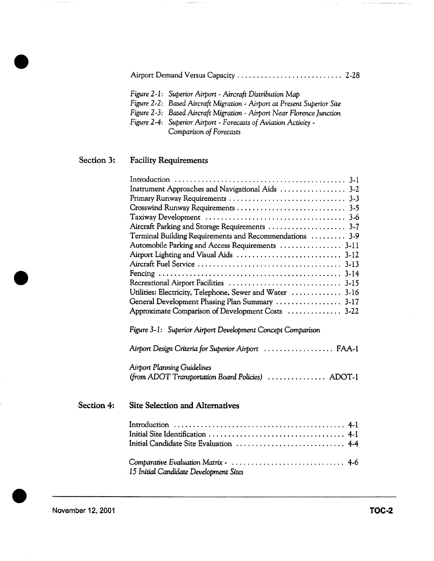|--|--|--|--|--|

- *Figure 2-I: Superior Airport. Aircraft Distribution Map*
- *Figure 2.2: Based Aircraft Migration Airport at Present Superior Site*
- *Figure 2-3: Based Aircraft Migration Airport Near Florence Junction*
- *Figure 2-4: Superior Airport. Forecasts of Aviation Activity Comparison of Forecasts*

# Section 3: Facility Requirements

| Instrument Approaches and Navigational Aids  3-2         |
|----------------------------------------------------------|
|                                                          |
|                                                          |
|                                                          |
|                                                          |
| Terminal Building Requirements and Recommendations  3-9  |
| Automobile Parking and Access Requirements  3-11         |
|                                                          |
|                                                          |
|                                                          |
|                                                          |
| Utilities: Electricity, Telephone, Sewer and Water  3-16 |
| General Development Phasing Plan Summary  3-17           |
| Approximate Comparison of Development Costs  3-22        |
|                                                          |

*Figure 3- I: Superior Airport* Development Concept *Comparison* 

*Airport Design Criteria for Superior Airport .................. FAA- 1* 

**Airport Planning Guidelines** *(from ADOT Transportation Board* Po//c/es) ............... ADOT-1

# Section 4: **Site Selection and Alternatives**

| 15 Initial Candidate Development Sites |  |
|----------------------------------------|--|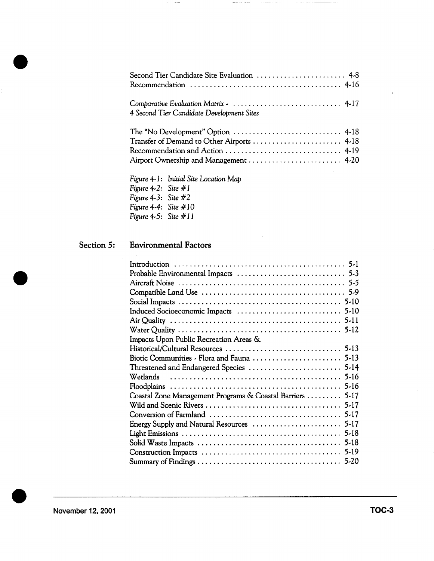| Second Tier Candidate Site Evaluation  4-8 |  |
|--------------------------------------------|--|
|                                            |  |
|                                            |  |

| Comparative Evaluation Matrix -  4-17     |  |
|-------------------------------------------|--|
| 4 Second Tier Candidate Development Sites |  |

*Figure 4-I: Initial Site Location Map Figure 4-2: Site # I Figure 4-3: Site #2 Figure 4-4: Site # 10 Figure 4-5: Site # I I* 

# Section 5: Environmental Factors

| Impacts Upon Public Recreation Areas &                    |
|-----------------------------------------------------------|
|                                                           |
|                                                           |
|                                                           |
|                                                           |
|                                                           |
| Coastal Zone Management Programs & Coastal Barriers  5-17 |
|                                                           |
|                                                           |
|                                                           |
|                                                           |
|                                                           |
|                                                           |
|                                                           |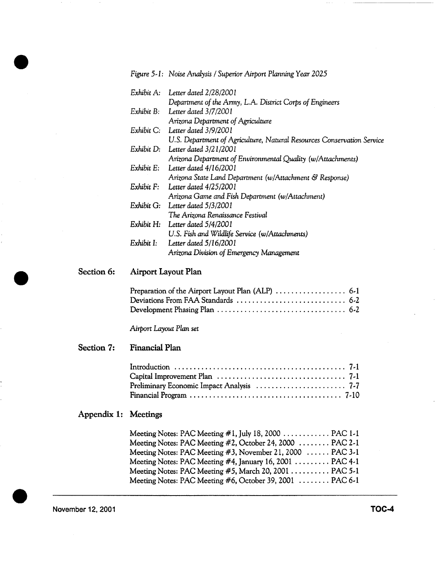*Figure 5-1: Noise Analysis / Superior Airport Planning Year 2025* 

| Exhibit A: Letter dated 2/28/2001                                      |
|------------------------------------------------------------------------|
| Department of the Army, L.A. District Corps of Engineers               |
| Exhibit B: Letter dated 3/7/2001                                       |
| Arizona Department of Agriculture                                      |
| Exhibit C: Letter dated 3/9/2001                                       |
| U.S. Department of Agriculture, Natural Resources Conservation Service |
| Exhibit D: Letter dated 3/21/2001                                      |
| Arizona Department of Environmental Quality (w/Attachments)            |
| Exhibit E: Letter dated 4/16/2001                                      |
| Arizona State Land Department (w/Attachment & Response)                |
| Exhibit F: Letter dated 4/25/2001                                      |
| Arizona Game and Fish Department (w/Attachment)                        |
| Exhibit G: Letter dated 5/3/2001                                       |
| The Arizona Renaissance Festival                                       |
| Exhibit H: Letter dated 5/4/2001                                       |
| U.S. Fish and Wildlife Service (w/Attachments)                         |
| Exhibit I: Letter dated 5/16/2001                                      |
| Arizona Division of Emergency Management                               |

#### Section 6: Airport Layout Plan

*Airport Layout Plan set* 

#### Section 7: **Financial Plan**

| Financial Program $\ldots \ldots \ldots \ldots \ldots \ldots \ldots \ldots \ldots \ldots \ldots \ldots \ldots$ 7-10 |  |
|---------------------------------------------------------------------------------------------------------------------|--|

### Appendix 1: **Meetings**

| Meeting Notes: PAC Meeting #2, October 24, 2000 PAC 2-1                  |  |
|--------------------------------------------------------------------------|--|
| Meeting Notes: PAC Meeting $#3$ , November 21, 2000 $\ldots$ PAC 3-1     |  |
| Meeting Notes: PAC Meeting $#4$ , January 16, 2001 $\dots \dots$ PAC 4-1 |  |
| Meeting Notes: PAC Meeting #5, March 20, 2001 PAC 5-1                    |  |
| Meeting Notes: PAC Meeting #6, October 39, 2001 PAC 6-1                  |  |